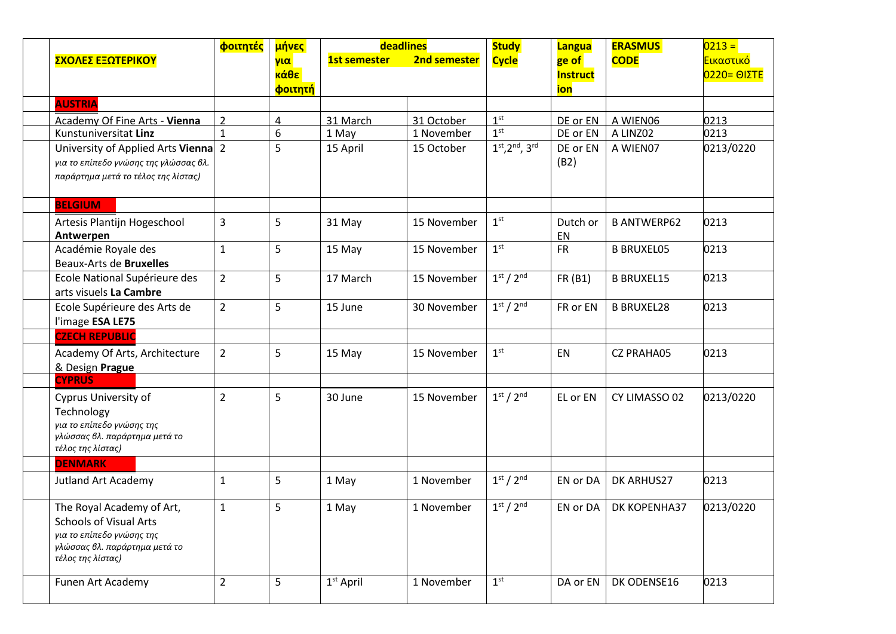|                                                                                                                                               | φοιτητές       | μήνες                               |                       | deadlines    | <b>Study</b>                      | Langua                          | <b>ERASMUS</b>     | $0213 =$                  |
|-----------------------------------------------------------------------------------------------------------------------------------------------|----------------|-------------------------------------|-----------------------|--------------|-----------------------------------|---------------------------------|--------------------|---------------------------|
| ΣΧΟΛΕΣ ΕΞΩΤΕΡΙΚΟΥ                                                                                                                             |                | για<br><mark>κάθε</mark><br>φοιτητή | 1st semester          | 2nd semester | <b>Cycle</b>                      | ge of<br><b>Instruct</b><br>ion | <b>CODE</b>        | Εικαστικό<br>0220 = ΘΙΣΤΕ |
| <b>AUSTRIA</b>                                                                                                                                |                |                                     |                       |              |                                   |                                 |                    |                           |
| Academy Of Fine Arts - Vienna                                                                                                                 | $\overline{2}$ | 4                                   | 31 March              | 31 October   | 1 <sup>st</sup>                   | DE or EN                        | A WIEN06           | 0213                      |
| Kunstuniversitat Linz                                                                                                                         | $\mathbf{1}$   | 6                                   | 1 May                 | 1 November   | 1 <sup>st</sup>                   | DE or EN                        | A LINZ02           | 0213                      |
| University of Applied Arts Vienna 2<br>για το επίπεδο γνώσης της γλώσσας βλ.<br>παράρτημα μετά το τέλος της λίστας)                           |                | 5                                   | 15 April              | 15 October   | $1st, 2nd, 3rd$                   | DE or EN<br>(B2)                | A WIEN07           | 0213/0220                 |
| <b>BELGIUM</b>                                                                                                                                |                |                                     |                       |              |                                   |                                 |                    |                           |
| Artesis Plantijn Hogeschool<br>Antwerpen                                                                                                      | 3              | 5                                   | 31 May                | 15 November  | 1 <sup>st</sup>                   | Dutch or<br>EN                  | <b>B ANTWERP62</b> | 0213                      |
| Académie Royale des<br>Beaux-Arts de Bruxelles                                                                                                | $\mathbf{1}$   | 5                                   | 15 May                | 15 November  | 1 <sup>st</sup>                   | <b>FR</b>                       | <b>B BRUXEL05</b>  | 0213                      |
| Ecole National Supérieure des<br>arts visuels La Cambre                                                                                       | $\overline{2}$ | 5                                   | 17 March              | 15 November  | 1 <sup>st</sup> / 2 <sup>nd</sup> | FR (B1)                         | <b>B BRUXEL15</b>  | 0213                      |
| Ecole Supérieure des Arts de<br>l'image ESA LE75                                                                                              | $\overline{2}$ | 5                                   | 15 June               | 30 November  | 1 <sup>st</sup> / 2 <sup>nd</sup> | FR or EN                        | <b>B BRUXEL28</b>  | 0213                      |
| <b>CZECH REPUBLIC</b>                                                                                                                         |                |                                     |                       |              |                                   |                                 |                    |                           |
| Academy Of Arts, Architecture<br>& Design Prague                                                                                              | $\overline{2}$ | 5                                   | 15 May                | 15 November  | 1 <sup>st</sup>                   | EN                              | <b>CZ PRAHA05</b>  | 0213                      |
| <b>CYPRUS</b>                                                                                                                                 |                |                                     |                       |              |                                   |                                 |                    |                           |
| Cyprus University of<br>Technology<br>για το επίπεδο γνώσης της<br>γλώσσας βλ. παράρτημα μετά το<br>τέλος της λίστας)                         | $\overline{2}$ | 5                                   | 30 June               | 15 November  | 1 <sup>st</sup> / 2 <sup>nd</sup> | EL or EN                        | CY LIMASSO 02      | 0213/0220                 |
| <b>DENMARK</b>                                                                                                                                |                |                                     |                       |              |                                   |                                 |                    |                           |
| <b>Jutland Art Academy</b>                                                                                                                    | $\mathbf{1}$   | 5                                   | 1 May                 | 1 November   | 1 <sup>st</sup> / 2 <sup>nd</sup> | EN or DA                        | DK ARHUS27         | 0213                      |
| The Royal Academy of Art,<br><b>Schools of Visual Arts</b><br>για το επίπεδο γνώσης της<br>γλώσσας βλ. παράρτημα μετά το<br>τέλος της λίστας) | $\mathbf{1}$   | 5                                   | 1 May                 | 1 November   | 1 <sup>st</sup> / 2 <sup>nd</sup> | EN or DA                        | DK KOPENHA37       | 0213/0220                 |
| Funen Art Academy                                                                                                                             | $\overline{2}$ | 5                                   | 1 <sup>st</sup> April | 1 November   | 1 <sup>st</sup>                   | DA or EN                        | DK ODENSE16        | 0213                      |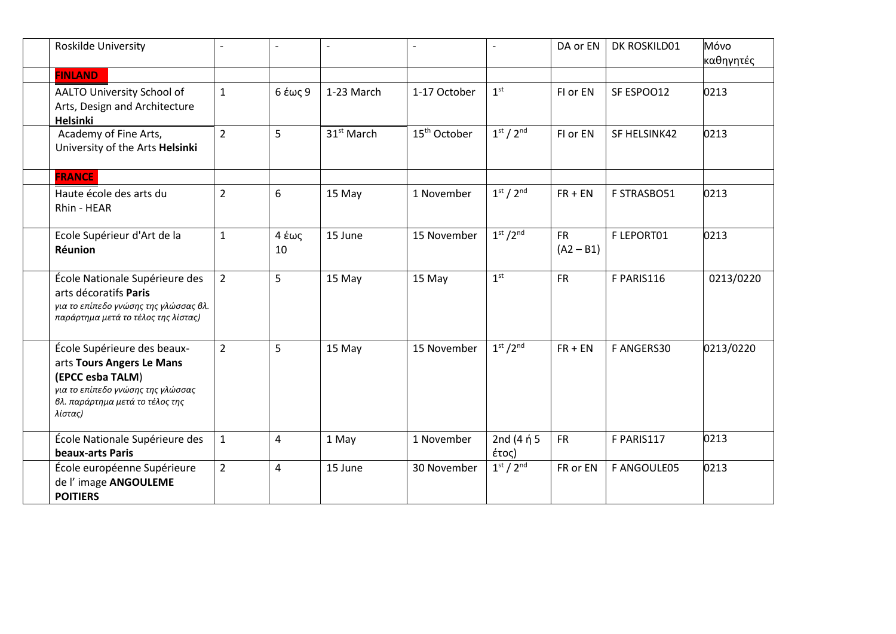| Roskilde University<br><b>FINLAND</b>                                                                                                                           | $\overline{\phantom{0}}$ |             | $\blacksquare$         | $\sim$                   |                                   | DA or EN                 | DK ROSKILD01 | Μόνο<br>καθηγητές |
|-----------------------------------------------------------------------------------------------------------------------------------------------------------------|--------------------------|-------------|------------------------|--------------------------|-----------------------------------|--------------------------|--------------|-------------------|
| AALTO University School of<br>Arts, Design and Architecture<br><b>Helsinki</b>                                                                                  | $\mathbf{1}$             | 6 έως 9     | 1-23 March             | 1-17 October             | 1 <sup>st</sup>                   | FI or EN                 | SF ESPOO12   | 0213              |
| Academy of Fine Arts,<br>University of the Arts Helsinki                                                                                                        | $\overline{2}$           | 5           | 31 <sup>st</sup> March | 15 <sup>th</sup> October | 1 <sup>st</sup> / 2 <sup>nd</sup> | FI or EN                 | SF HELSINK42 | 0213              |
| <b>FRANCE</b>                                                                                                                                                   |                          |             |                        |                          |                                   |                          |              |                   |
| Haute école des arts du<br>Rhin - HEAR                                                                                                                          | $\overline{2}$           | 6           | 15 May                 | 1 November               | 1 <sup>st</sup> / 2 <sup>nd</sup> | $FR + EN$                | F STRASBO51  | 0213              |
| Ecole Supérieur d'Art de la<br><b>Réunion</b>                                                                                                                   | $\mathbf{1}$             | 4 έως<br>10 | 15 June                | 15 November              | 1 <sup>st</sup> /2 <sup>nd</sup>  | <b>FR</b><br>$(A2 - B1)$ | F LEPORT01   | 0213              |
| École Nationale Supérieure des<br>arts décoratifs Paris<br>για το επίπεδο γνώσης της γλώσσας βλ.<br>παράρτημα μετά το τέλος της λίστας)                         | $\overline{2}$           | 5           | 15 May                 | 15 May                   | 1 <sup>st</sup>                   | <b>FR</b>                | F PARIS116   | 0213/0220         |
| École Supérieure des beaux-<br>arts Tours Angers Le Mans<br>(EPCC esba TALM)<br>για το επίπεδο γνώσης της γλώσσας<br>βλ. παράρτημα μετά το τέλος της<br>λίστας) | $\overline{2}$           | 5           | 15 May                 | 15 November              | 1 <sup>st</sup> /2 <sup>nd</sup>  | $FR + EN$                | F ANGERS30   | 0213/0220         |
| École Nationale Supérieure des<br>beaux-arts Paris                                                                                                              | $\mathbf{1}$             | 4           | 1 May                  | 1 November               | 2nd (4 ή 5<br>έτος)               | <b>FR</b>                | F PARIS117   | 0213              |
| École européenne Supérieure<br>de l'image ANGOULEME<br><b>POITIERS</b>                                                                                          | $\overline{2}$           | 4           | 15 June                | 30 November              | 1 <sup>st</sup> / 2 <sup>nd</sup> | FR or EN                 | F ANGOULE05  | 0213              |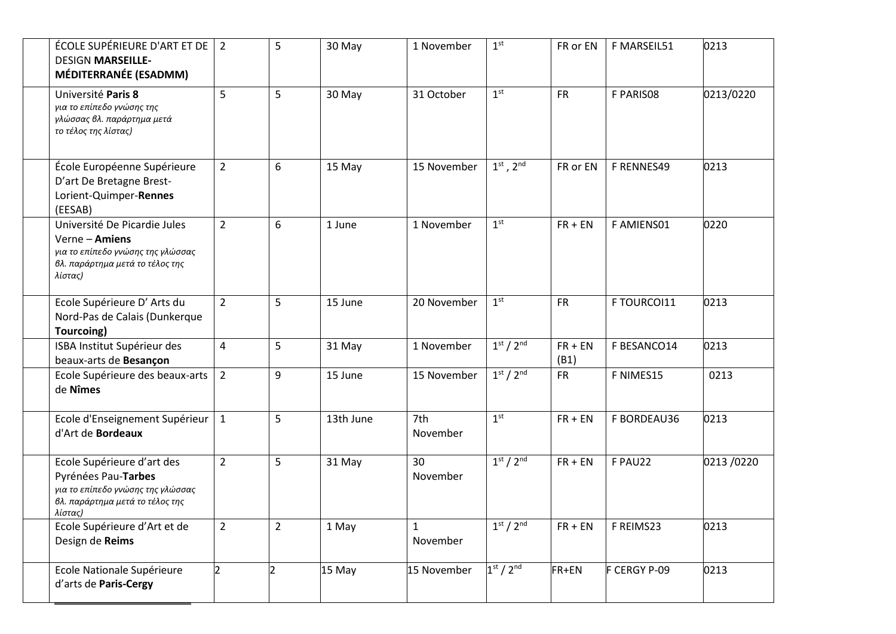| ÉCOLE SUPÉRIEURE D'ART ET DE<br><b>DESIGN MARSEILLE-</b><br>MÉDITERRANÉE (ESADMM)                                                    | $\overline{2}$ | 5              | 30 May    | 1 November               | 1 <sup>st</sup>                   | FR or EN          | F MARSEIL51  | 0213      |
|--------------------------------------------------------------------------------------------------------------------------------------|----------------|----------------|-----------|--------------------------|-----------------------------------|-------------------|--------------|-----------|
| Université Paris 8<br>για το επίπεδο γνώσης της<br>γλώσσας βλ. παράρτημα μετά<br>το τέλος της λίστας)                                | 5              | 5              | 30 May    | 31 October               | 1 <sup>st</sup>                   | <b>FR</b>         | F PARISO8    | 0213/0220 |
| École Européenne Supérieure<br>D'art De Bretagne Brest-<br>Lorient-Quimper-Rennes<br>(EESAB)                                         | $\overline{2}$ | 6              | 15 May    | 15 November              | $1st$ , $2nd$                     | FR or EN          | F RENNES49   | 0213      |
| Université De Picardie Jules<br>Verne - Amiens<br>για το επίπεδο γνώσης της γλώσσας<br>βλ. παράρτημα μετά το τέλος της<br>λίστας)    | $\overline{2}$ | 6              | 1 June    | 1 November               | 1 <sup>st</sup>                   | $FR + EN$         | F AMIENS01   | 0220      |
| Ecole Supérieure D' Arts du<br>Nord-Pas de Calais (Dunkerque<br>Tourcoing)                                                           | $\overline{2}$ | 5              | 15 June   | 20 November              | 1 <sup>st</sup>                   | <b>FR</b>         | F TOURCOI11  | 0213      |
| ISBA Institut Supérieur des<br>beaux-arts de Besançon                                                                                | 4              | 5              | 31 May    | 1 November               | 1 <sup>st</sup> / 2 <sup>nd</sup> | $FR + EN$<br>(B1) | F BESANCO14  | 0213      |
| Ecole Supérieure des beaux-arts<br>de Nîmes                                                                                          | $\overline{2}$ | 9              | 15 June   | 15 November              | 1 <sup>st</sup> / 2 <sup>nd</sup> | <b>FR</b>         | F NIMES15    | 0213      |
| Ecole d'Enseignement Supérieur<br>d'Art de Bordeaux                                                                                  | $\mathbf{1}$   | 5              | 13th June | 7th<br>November          | 1 <sup>st</sup>                   | $FR + EN$         | F BORDEAU36  | 0213      |
| Ecole Supérieure d'art des<br>Pyrénées Pau-Tarbes<br>για το επίπεδο γνώσης της γλώσσας<br>βλ. παράρτημα μετά το τέλος της<br>λίστας) | $\overline{2}$ | 5              | 31 May    | 30<br>November           | 1 <sup>st</sup> / 2 <sup>nd</sup> | $FR + EN$         | F PAU22      | 0213/0220 |
| Ecole Supérieure d'Art et de<br>Design de Reims                                                                                      | $\overline{2}$ | $\overline{2}$ | 1 May     | $\mathbf{1}$<br>November | 1 <sup>st</sup> /2 <sup>nd</sup>  | $FR + EN$         | F REIMS23    | 0213      |
| Ecole Nationale Supérieure<br>d'arts de Paris-Cergy                                                                                  | $\overline{2}$ | 2              | 15 May    | 15 November              | 1 <sup>st</sup> / 2 <sup>nd</sup> | FR+EN             | F CERGY P-09 | 0213      |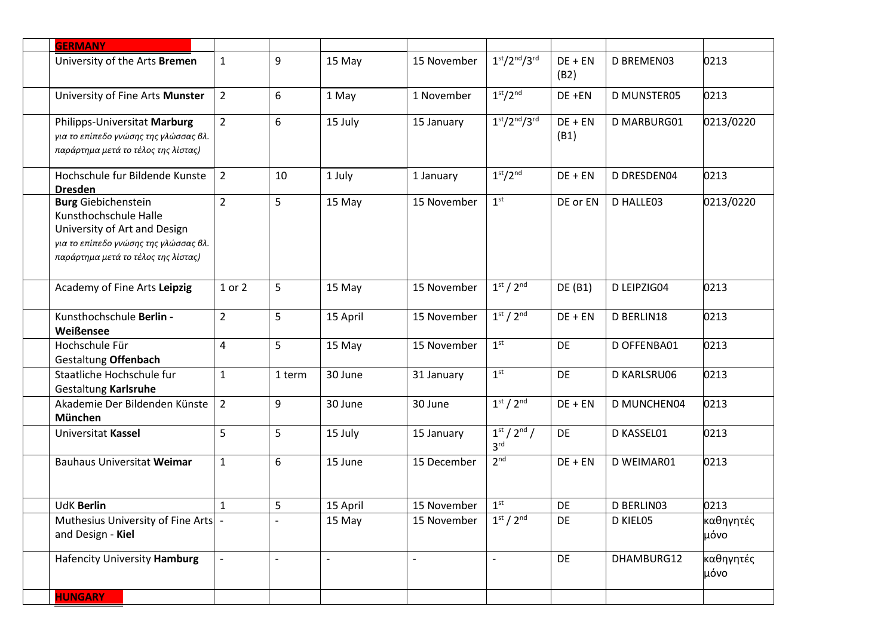| <b>GERMANY</b>                                                                                                                                                      |                |                          |                |                          |                                                        |                   |                    |                   |
|---------------------------------------------------------------------------------------------------------------------------------------------------------------------|----------------|--------------------------|----------------|--------------------------|--------------------------------------------------------|-------------------|--------------------|-------------------|
| University of the Arts Bremen                                                                                                                                       | $\mathbf{1}$   | 9                        | 15 May         | 15 November              | $1st/2nd/3rd$                                          | $DE + EN$<br>(B2) | D BREMEN03         | 0213              |
| University of Fine Arts Munster                                                                                                                                     | $\overline{2}$ | 6                        | 1 May          | 1 November               | 1 <sup>st</sup> /2 <sup>nd</sup>                       | DE +EN            | <b>D MUNSTER05</b> | 0213              |
| Philipps-Universitat Marburg<br>για το επίπεδο γνώσης της γλώσσας βλ.<br>παράρτημα μετά το τέλος της λίστας)                                                        | $\overline{2}$ | 6                        | 15 July        | 15 January               | $1st/2nd/3rd$                                          | $DE + EN$<br>(B1) | D MARBURG01        | 0213/0220         |
| Hochschule fur Bildende Kunste<br><b>Dresden</b>                                                                                                                    | $\overline{2}$ | 10                       | 1 July         | 1 January                | 1 <sup>st</sup> /2 <sup>nd</sup>                       | $DE + EN$         | D DRESDEN04        | 0213              |
| <b>Burg Giebichenstein</b><br>Kunsthochschule Halle<br>University of Art and Design<br>για το επίπεδο γνώσης της γλώσσας βλ.<br>παράρτημα μετά το τέλος της λίστας) | $\overline{2}$ | 5                        | 15 May         | 15 November              | 1 <sup>st</sup>                                        | DE or EN          | D HALLE03          | 0213/0220         |
| Academy of Fine Arts Leipzig                                                                                                                                        | 1 or 2         | 5                        | 15 May         | 15 November              | 1 <sup>st</sup> / 2 <sup>nd</sup>                      | DE (B1)           | D LEIPZIG04        | 0213              |
| Kunsthochschule Berlin -<br><b>Weißensee</b>                                                                                                                        | $\overline{2}$ | 5                        | 15 April       | 15 November              | 1 <sup>st</sup> / 2 <sup>nd</sup>                      | $DE + EN$         | D BERLIN18         | 0213              |
| Hochschule Für<br>Gestaltung Offenbach                                                                                                                              | 4              | 5                        | 15 May         | 15 November              | 1 <sup>st</sup>                                        | DE                | D OFFENBA01        | 0213              |
| Staatliche Hochschule fur<br>Gestaltung Karlsruhe                                                                                                                   | $\mathbf{1}$   | 1 term                   | 30 June        | 31 January               | 1 <sup>st</sup>                                        | DE                | D KARLSRU06        | 0213              |
| Akademie Der Bildenden Künste<br>München                                                                                                                            | $\overline{2}$ | 9                        | 30 June        | 30 June                  | 1 <sup>st</sup> / 2 <sup>nd</sup>                      | $DE + EN$         | D MUNCHEN04        | 0213              |
| Universitat Kassel                                                                                                                                                  | 5              | 5                        | 15 July        | 15 January               | 1 <sup>st</sup> / 2 <sup>nd</sup> /<br>3 <sup>rd</sup> | DE                | D KASSEL01         | 0213              |
| <b>Bauhaus Universitat Weimar</b>                                                                                                                                   | $\mathbf{1}$   | 6                        | 15 June        | 15 December              | 2 <sup>nd</sup>                                        | $DE + EN$         | D WEIMAR01         | 0213              |
| UdK Berlin                                                                                                                                                          | $\mathbf{1}$   | 5                        | 15 April       | 15 November              | 1 <sup>st</sup>                                        | DE                | D BERLINO3         | 0213              |
| Muthesius University of Fine Arts -<br>and Design - Kiel                                                                                                            |                |                          | 15 May         | 15 November              | 1 <sup>st</sup> / 2 <sup>nd</sup>                      | DE                | D KIEL05           | καθηγητές<br>μόνο |
| <b>Hafencity University Hamburg</b>                                                                                                                                 |                | $\overline{\phantom{a}}$ | $\overline{a}$ | $\overline{\phantom{a}}$ | $\overline{\phantom{a}}$                               | DE                | DHAMBURG12         | καθηγητές<br>μόνο |
| <b>HUNGARY</b>                                                                                                                                                      |                |                          |                |                          |                                                        |                   |                    |                   |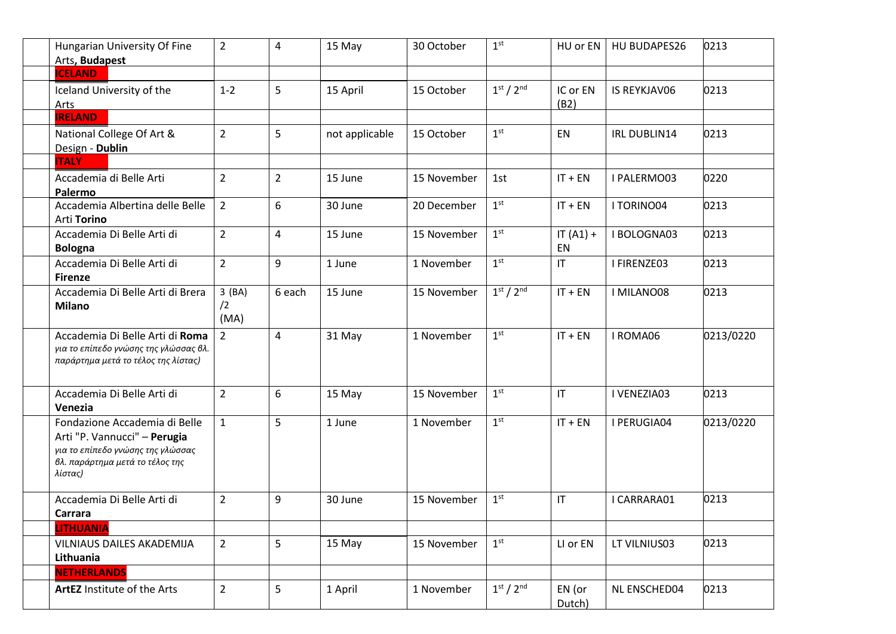| Hungarian University Of Fine<br>Arts, Budapest                                                                                                   | $\overline{2}$         | 4              | 15 May         | 30 October  | 1 <sup>st</sup>                   | HU or EN               | HU BUDAPES26        | 0213      |
|--------------------------------------------------------------------------------------------------------------------------------------------------|------------------------|----------------|----------------|-------------|-----------------------------------|------------------------|---------------------|-----------|
| <b>ICELAND</b>                                                                                                                                   |                        |                |                |             |                                   |                        |                     |           |
| Iceland University of the<br>Arts                                                                                                                | $1 - 2$                | 5              | 15 April       | 15 October  | 1 <sup>st</sup> / 2 <sup>nd</sup> | IC or EN<br>(B2)       | IS REYKJAV06        | 0213      |
| <b>IRELAND</b>                                                                                                                                   |                        |                |                |             |                                   |                        |                     |           |
| National College Of Art &<br>Design - Dublin                                                                                                     | $\overline{2}$         | 5              | not applicable | 15 October  | 1 <sup>st</sup>                   | EN                     | <b>IRL DUBLIN14</b> | 0213      |
| <b>ITALY</b>                                                                                                                                     |                        |                |                |             |                                   |                        |                     |           |
| Accademia di Belle Arti<br>Palermo                                                                                                               | $\overline{2}$         | $\overline{2}$ | 15 June        | 15 November | 1st                               | $IT + EN$              | I PALERMO03         | 0220      |
| Accademia Albertina delle Belle<br>Arti Torino                                                                                                   | $\overline{2}$         | 6              | 30 June        | 20 December | 1 <sup>st</sup>                   | $IT + EN$              | I TORINO04          | 0213      |
| Accademia Di Belle Arti di<br><b>Bologna</b>                                                                                                     | $\overline{2}$         | 4              | 15 June        | 15 November | 1 <sup>st</sup>                   | IT $(A1) +$<br>EN      | I BOLOGNA03         | 0213      |
| Accademia Di Belle Arti di<br><b>Firenze</b>                                                                                                     | $\overline{2}$         | 9              | 1 June         | 1 November  | 1 <sup>st</sup>                   | $\mathsf{I}\mathsf{T}$ | I FIRENZE03         | 0213      |
| Accademia Di Belle Arti di Brera<br><b>Milano</b>                                                                                                | $3$ (BA)<br>/2<br>(MA) | 6 each         | 15 June        | 15 November | 1 <sup>st</sup> / 2 <sup>nd</sup> | $IT + EN$              | I MILANO08          | 0213      |
| Accademia Di Belle Arti di Roma<br>για το επίπεδο γνώσης της γλώσσας βλ.<br>παράρτημα μετά το τέλος της λίστας)                                  | $\overline{2}$         | $\overline{4}$ | 31 May         | 1 November  | 1 <sup>st</sup>                   | $IT + EN$              | I ROMA06            | 0213/0220 |
| Accademia Di Belle Arti di<br>Venezia                                                                                                            | $\overline{2}$         | 6              | 15 May         | 15 November | 1 <sup>st</sup>                   | $\mathsf{I}\mathsf{T}$ | I VENEZIA03         | 0213      |
| Fondazione Accademia di Belle<br>Arti "P. Vannucci" - Perugia<br>για το επίπεδο γνώσης της γλώσσας<br>βλ. παράρτημα μετά το τέλος της<br>λίστας) | $\mathbf{1}$           | 5              | 1 June         | 1 November  | 1 <sup>st</sup>                   | $IT + EN$              | I PERUGIA04         | 0213/0220 |
| Accademia Di Belle Arti di<br>Carrara                                                                                                            | $\overline{2}$         | 9              | 30 June        | 15 November | 1 <sup>st</sup>                   | $\mathsf{I}\mathsf{T}$ | I CARRARA01         | 0213      |
| <b>LITHUANIA</b>                                                                                                                                 |                        |                |                |             |                                   |                        |                     |           |
| VILNIAUS DAILES AKADEMIJA<br>Lithuania                                                                                                           | $\overline{2}$         | 5              | 15 May         | 15 November | 1 <sup>st</sup>                   | LI or EN               | LT VILNIUS03        | 0213      |
| <b>NETHERLANDS</b>                                                                                                                               |                        |                |                |             |                                   |                        |                     |           |
| <b>ArtEZ</b> Institute of the Arts                                                                                                               | $\overline{2}$         | 5              | 1 April        | 1 November  | 1 <sup>st</sup> / 2 <sup>nd</sup> | EN (or<br>Dutch)       | NL ENSCHED04        | 0213      |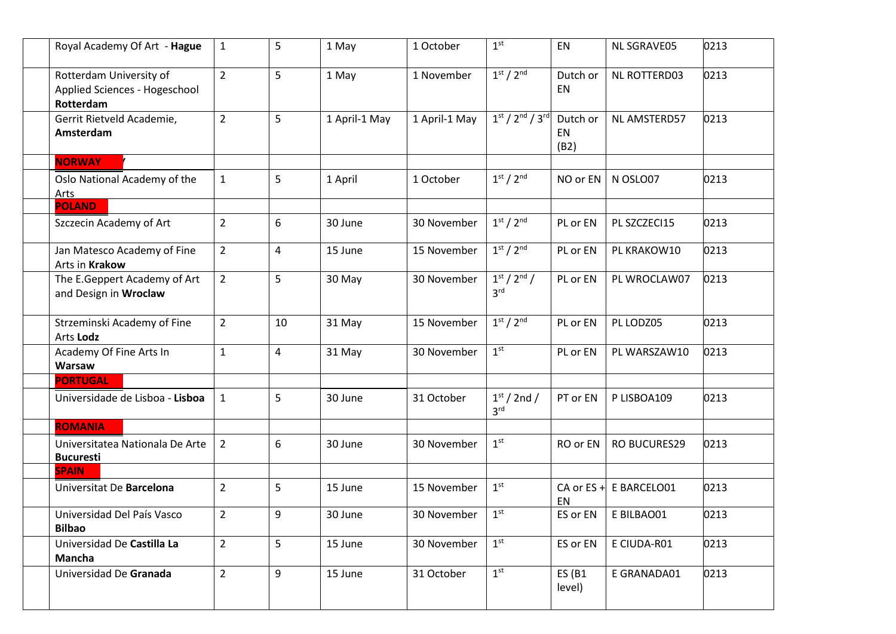| Royal Academy Of Art - Hague                                          | $\mathbf{1}$   | 5              | 1 May         | 1 October     | 1 <sup>st</sup>                            | EN                            | <b>NL SGRAVE05</b>  | 0213 |
|-----------------------------------------------------------------------|----------------|----------------|---------------|---------------|--------------------------------------------|-------------------------------|---------------------|------|
| Rotterdam University of<br>Applied Sciences - Hogeschool<br>Rotterdam | $\overline{2}$ | 5              | 1 May         | 1 November    | 1 <sup>st</sup> / 2 <sup>nd</sup>          | Dutch or<br>EN                | NL ROTTERD03        | 0213 |
| Gerrit Rietveld Academie,<br>Amsterdam                                | $\overline{2}$ | 5              | 1 April-1 May | 1 April-1 May | $1^{st} / 2^{nd} / 3^{rd}$                 | Dutch or<br><b>EN</b><br>(B2) | NL AMSTERD57        | 0213 |
| <b>NORWAY</b>                                                         |                |                |               |               |                                            |                               |                     |      |
| Oslo National Academy of the<br>Arts                                  | $\mathbf{1}$   | 5              | 1 April       | 1 October     | 1 <sup>st</sup> / 2 <sup>nd</sup>          | NO or EN                      | N OSLO07            | 0213 |
| <b>POLAND</b><br>Szczecin Academy of Art                              | $\overline{2}$ | 6              | 30 June       | 30 November   | 1 <sup>st</sup> / 2 <sup>nd</sup>          | PL or EN                      | PL SZCZECI15        | 0213 |
|                                                                       |                |                |               |               |                                            |                               |                     |      |
| Jan Matesco Academy of Fine<br>Arts in Krakow                         | $\overline{2}$ | $\overline{4}$ | 15 June       | 15 November   | 1 <sup>st</sup> / 2 <sup>nd</sup>          | PL or EN                      | PL KRAKOW10         | 0213 |
| The E.Geppert Academy of Art<br>and Design in Wroclaw                 | $\overline{2}$ | 5              | 30 May        | 30 November   | $1^{st} / 2^{nd} /$<br>3 <sup>rd</sup>     | PL or EN                      | PL WROCLAW07        | 0213 |
| Strzeminski Academy of Fine<br>Arts Lodz                              | $\overline{2}$ | 10             | 31 May        | 15 November   | 1 <sup>st</sup> / 2 <sup>nd</sup>          | PL or EN                      | PL LODZ05           | 0213 |
| Academy Of Fine Arts In<br>Warsaw                                     | $\mathbf{1}$   | 4              | 31 May        | 30 November   | 1 <sup>st</sup>                            | PL or EN                      | PL WARSZAW10        | 0213 |
| <b>PORTUGAL</b>                                                       |                |                |               |               |                                            |                               |                     |      |
| Universidade de Lisboa - Lisboa                                       | $\mathbf{1}$   | 5              | 30 June       | 31 October    | 1 <sup>st</sup> / 2nd /<br>3 <sup>rd</sup> | PT or EN                      | P LISBOA109         | 0213 |
| <b>ROMANIA</b>                                                        |                |                |               |               |                                            |                               |                     |      |
| Universitatea Nationala De Arte<br><b>Bucuresti</b><br><b>SPAIN</b>   | $\overline{2}$ | 6              | 30 June       | 30 November   | 1 <sup>st</sup>                            | RO or EN                      | <b>RO BUCURES29</b> | 0213 |
| Universitat De Barcelona                                              | $\overline{2}$ | 5              | 15 June       | 15 November   | 1 <sup>st</sup>                            | $CA$ or $ES +$<br>EN          | E BARCELO01         | 0213 |
| Universidad Del País Vasco<br><b>Bilbao</b>                           | $\overline{2}$ | 9              | 30 June       | 30 November   | 1 <sup>st</sup>                            | ES or EN                      | E BILBAO01          | 0213 |
| Universidad De Castilla La<br>Mancha                                  | $\overline{2}$ | 5              | 15 June       | 30 November   | 1 <sup>st</sup>                            | ES or EN                      | E CIUDA-R01         | 0213 |
| Universidad De Granada                                                | $\overline{2}$ | 9              | 15 June       | 31 October    | 1 <sup>st</sup>                            | <b>ES (B1)</b><br>level)      | E GRANADA01         | 0213 |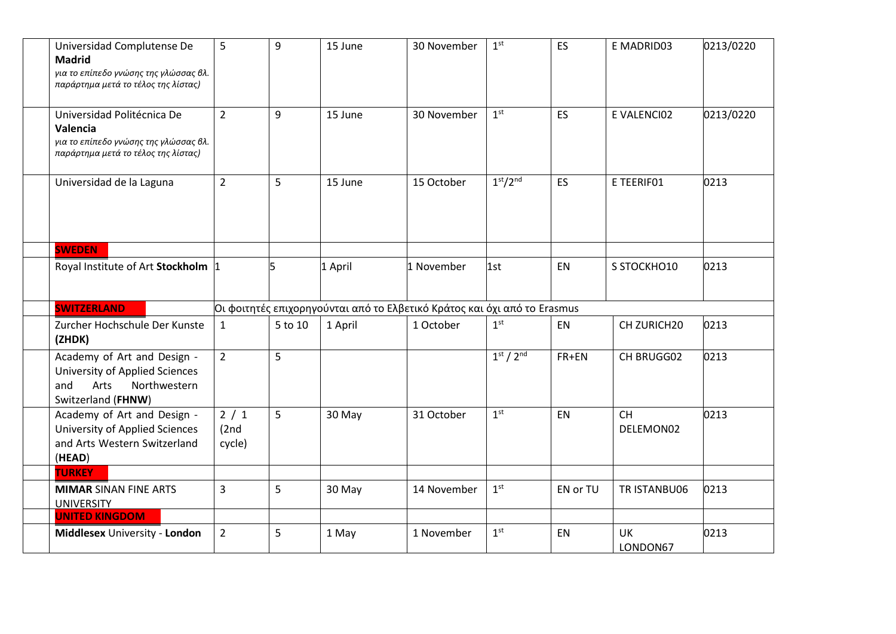| Universidad Complutense De<br><b>Madrid</b><br>για το επίπεδο γνώσης της γλώσσας βλ.<br>παράρτημα μετά το τέλος της λίστας) | 5                      | 9       | 15 June                                                                  | 30 November | 1 <sup>st</sup>                   | ES        | E MADRID03             | 0213/0220 |
|-----------------------------------------------------------------------------------------------------------------------------|------------------------|---------|--------------------------------------------------------------------------|-------------|-----------------------------------|-----------|------------------------|-----------|
| Universidad Politécnica De<br>Valencia<br>για το επίπεδο γνώσης της γλώσσας βλ.<br>παράρτημα μετά το τέλος της λίστας)      | $\overline{2}$         | 9       | 15 June                                                                  | 30 November | 1 <sup>st</sup>                   | <b>ES</b> | E VALENCIO2            | 0213/0220 |
| Universidad de la Laguna                                                                                                    | $\overline{2}$         | 5       | 15 June                                                                  | 15 October  | 1 <sup>st</sup> /2 <sup>nd</sup>  | ES        | E TEERIF01             | 0213      |
| <b>SWEDEN</b><br>Royal Institute of Art Stockholm 1                                                                         |                        | 5       | 1 April                                                                  | 1 November  | 1st                               | EN        | S STOCKHO10            | 0213      |
| <b>SWITZERLAND</b>                                                                                                          |                        |         | Οι φοιτητές επιχορηγούνται από το Ελβετικό Κράτος και όχι από το Erasmus |             |                                   |           |                        |           |
| Zurcher Hochschule Der Kunste<br>(ZHDK)                                                                                     | $\mathbf{1}$           | 5 to 10 | 1 April                                                                  | 1 October   | 1 <sup>st</sup>                   | EN        | CH ZURICH20            | 0213      |
| Academy of Art and Design -<br>University of Applied Sciences<br>Arts<br>Northwestern<br>and<br>Switzerland (FHNW)          | $\overline{2}$         | 5       |                                                                          |             | 1 <sup>st</sup> / 2 <sup>nd</sup> | FR+EN     | CH BRUGG02             | 0213      |
| Academy of Art and Design -<br>University of Applied Sciences<br>and Arts Western Switzerland<br>(HEAD)                     | 2/1<br>(2nd)<br>cycle) | 5       | 30 May                                                                   | 31 October  | 1 <sup>st</sup>                   | EN        | <b>CH</b><br>DELEMON02 | 0213      |
| <b>TURKEY</b>                                                                                                               |                        |         |                                                                          |             |                                   |           |                        |           |
| <b>MIMAR SINAN FINE ARTS</b><br><b>UNIVERSITY</b>                                                                           | 3                      | 5       | 30 May                                                                   | 14 November | 1 <sup>st</sup>                   | EN or TU  | TR ISTANBU06           | 0213      |
| <b>UNITED KINGDOM</b>                                                                                                       |                        |         |                                                                          |             |                                   |           |                        |           |
| Middlesex University - London                                                                                               | $\overline{2}$         | 5       | 1 May                                                                    | 1 November  | 1 <sup>st</sup>                   | EN        | <b>UK</b><br>LONDON67  | 0213      |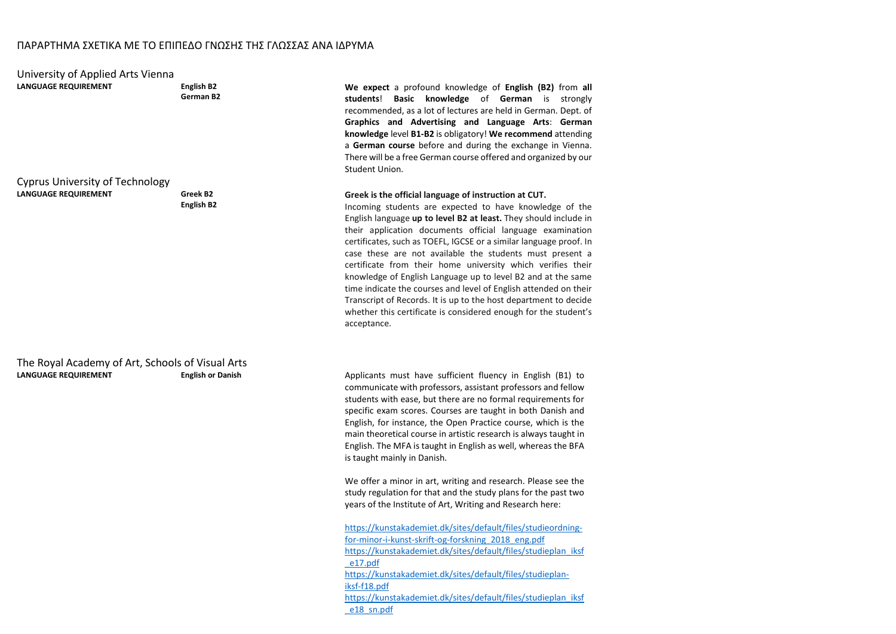## ΠΑΡΑΡΤΗΜΑ ΣΧΕΤΙΚΑ ΜΕ ΤΟ ΕΠΙΠΕΔΟ ΓΝΩΣΗΣ ΤΗΣ ΓΛΩΣΣΑΣ ΑΝΑ ΙΔΡΥΜΑ

University of Applied Arts Vienna **LANGUAGE REQUIREMENT** English B2

**German B2** 

Cyprus University of Technology **LANGUAGE REQUIREMENT Greek B2** 

**English B2** 

The Royal Academy of Art, Schools of Visual Arts LANGUAGE REQUIREMENT **English or Danish English or Danish** Applicants must have sufficient fluency in English (B1) to

**We expect** a profound knowledge of **English (B2)** from **all students**! **Basic knowledge** of **German** is strongly recommended, as a lot of lectures are held in German. Dept. of **Graphics and Advertising and Language Arts**: **German knowledge** level **B1-B2** is obligatory! **We recommend** attending a **German course** before and during the exchange in Vienna. There will be a free German course offered and organized by our Student Union.

**Greek is the official language of instruction at CUT.**

Incoming students are expected to have knowledge of the English language **up to level B2 at least.** They should include in their application documents official language examination certificates, such as TOEFL, IGCSE or a similar language proof. In case these are not available the students must present a certificate from their home university which verifies their knowledge of English Language up to level B2 and at the same time indicate the courses and level of English attended on their Transcript of Records. It is up to the host department to decide whether this certificate is considered enough for the student's acceptance.

communicate with professors, assistant professors and fellow students with ease, but there are no formal requirements for specific exam scores. Courses are taught in both Danish and English, for instance, the Open Practice course, which is the main theoretical course in artistic research is always taught in English. The MFA is taught in English as well, whereas the BFA is taught mainly in Danish.

We offer a minor in art, writing and research. Please see the study regulation for that and the study plans for the past two years of the Institute of Art, Writing and Research here:

[https://kunstakademiet.dk/sites/default/files/studieordning](https://kunstakademiet.dk/sites/default/files/studieordning-for-minor-i-kunst-skrift-og-forskning_2018_eng.pdf)[for-minor-i-kunst-skrift-og-forskning\\_2018\\_eng.pdf](https://kunstakademiet.dk/sites/default/files/studieordning-for-minor-i-kunst-skrift-og-forskning_2018_eng.pdf) [https://kunstakademiet.dk/sites/default/files/studieplan\\_iksf](https://kunstakademiet.dk/sites/default/files/studieplan_iksf_e17.pdf) [\\_e17.pdf](https://kunstakademiet.dk/sites/default/files/studieplan_iksf_e17.pdf) [https://kunstakademiet.dk/sites/default/files/studieplan](https://kunstakademiet.dk/sites/default/files/studieplan-iksf-f18.pdf)[iksf-f18.pdf](https://kunstakademiet.dk/sites/default/files/studieplan-iksf-f18.pdf) [https://kunstakademiet.dk/sites/default/files/studieplan\\_iksf](https://kunstakademiet.dk/sites/default/files/studieplan_iksf_e18_sn.pdf) [\\_e18\\_sn.pdf](https://kunstakademiet.dk/sites/default/files/studieplan_iksf_e18_sn.pdf)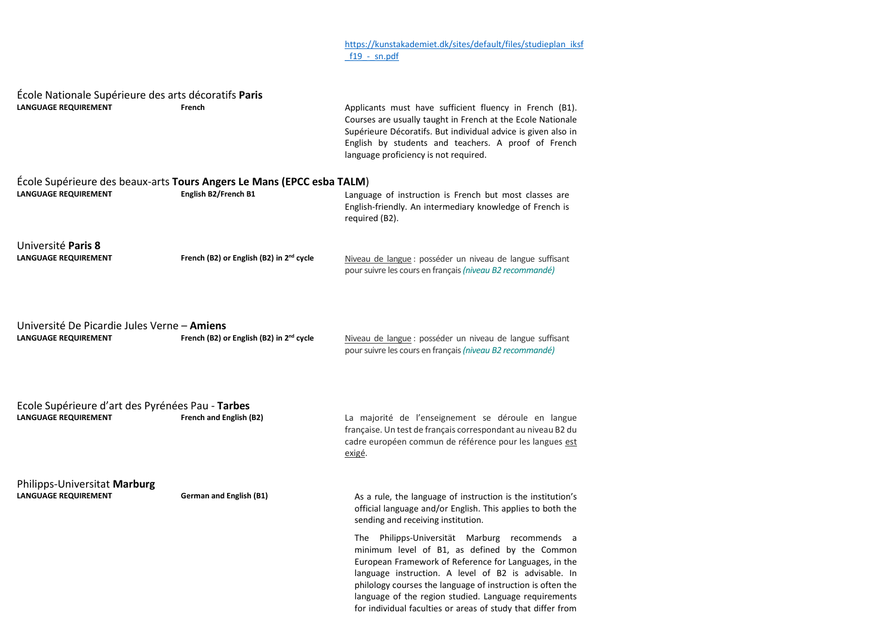for individual faculties or areas of study that differ from

| École Nationale Supérieure des arts décoratifs Paris                            |                                                                                               |                                                                                                                                                                                                                                                                                                                                        |
|---------------------------------------------------------------------------------|-----------------------------------------------------------------------------------------------|----------------------------------------------------------------------------------------------------------------------------------------------------------------------------------------------------------------------------------------------------------------------------------------------------------------------------------------|
| <b>LANGUAGE REQUIREMENT</b>                                                     | French                                                                                        | Applicants must have sufficient fluency in French (B1).<br>Courses are usually taught in French at the Ecole Nationale<br>Supérieure Décoratifs. But individual advice is given also in<br>English by students and teachers. A proof of French<br>language proficiency is not required.                                                |
| <b>LANGUAGE REQUIREMENT</b>                                                     | École Supérieure des beaux-arts Tours Angers Le Mans (EPCC esba TALM)<br>English B2/French B1 | Language of instruction is French but most classes are<br>English-friendly. An intermediary knowledge of French is<br>required (B2).                                                                                                                                                                                                   |
| Université Paris 8<br><b>LANGUAGE REQUIREMENT</b>                               | French (B2) or English (B2) in 2 <sup>nd</sup> cycle                                          | Niveau de langue : posséder un niveau de langue suffisant<br>pour suivre les cours en français (niveau B2 recommandé)                                                                                                                                                                                                                  |
| Université De Picardie Jules Verne - Amiens<br><b>LANGUAGE REQUIREMENT</b>      | French (B2) or English (B2) in 2 <sup>nd</sup> cycle                                          | Niveau de langue : posséder un niveau de langue suffisant<br>pour suivre les cours en français (niveau B2 recommandé)                                                                                                                                                                                                                  |
| Ecole Supérieure d'art des Pyrénées Pau - Tarbes<br><b>LANGUAGE REQUIREMENT</b> | French and English (B2)                                                                       | La majorité de l'enseignement se déroule en langue<br>française. Un test de français correspondant au niveau B2 du<br>cadre européen commun de référence pour les langues est<br>exigé.                                                                                                                                                |
| Philipps-Universitat Marburg<br><b>LANGUAGE REQUIREMENT</b>                     | <b>German and English (B1)</b>                                                                | As a rule, the language of instruction is the institution's<br>official language and/or English. This applies to both the<br>sending and receiving institution.                                                                                                                                                                        |
|                                                                                 |                                                                                               | The Philipps-Universität Marburg recommends a<br>minimum level of B1, as defined by the Common<br>European Framework of Reference for Languages, in the<br>language instruction. A level of B2 is advisable. In<br>philology courses the language of instruction is often the<br>language of the region studied. Language requirements |